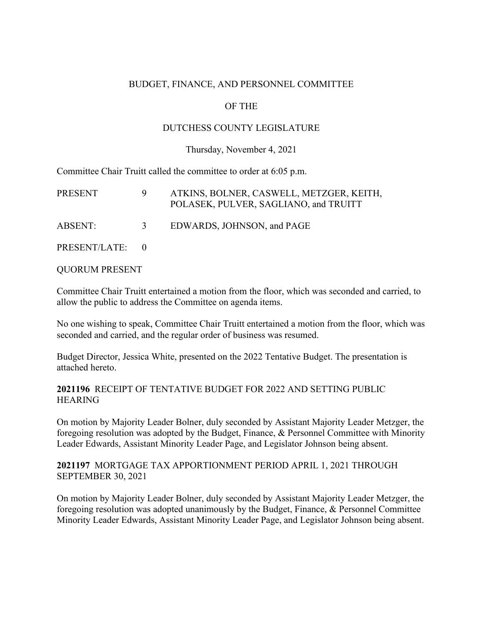#### BUDGET, FINANCE, AND PERSONNEL COMMITTEE

#### OF THE

#### DUTCHESS COUNTY LEGISLATURE

#### Thursday, November 4, 2021

Committee Chair Truitt called the committee to order at 6:05 p.m.

| <b>PRESENT</b>  |               | ATKINS, BOLNER, CASWELL, METZGER, KEITH,<br>POLASEK, PULVER, SAGLIANO, and TRUITT |
|-----------------|---------------|-----------------------------------------------------------------------------------|
| ABSENT:         | $\mathcal{R}$ | EDWARDS, JOHNSON, and PAGE                                                        |
| PRESENT/LATE: 0 |               |                                                                                   |

QUORUM PRESENT

Committee Chair Truitt entertained a motion from the floor, which was seconded and carried, to allow the public to address the Committee on agenda items.

No one wishing to speak, Committee Chair Truitt entertained a motion from the floor, which was seconded and carried, and the regular order of business was resumed.

Budget Director, Jessica White, presented on the 2022 Tentative Budget. The presentation is attached hereto.

#### **2021196** RECEIPT OF TENTATIVE BUDGET FOR 2022 AND SETTING PUBLIC **HEARING**

On motion by Majority Leader Bolner, duly seconded by Assistant Majority Leader Metzger, the foregoing resolution was adopted by the Budget, Finance, & Personnel Committee with Minority Leader Edwards, Assistant Minority Leader Page, and Legislator Johnson being absent.

**2021197** MORTGAGE TAX APPORTIONMENT PERIOD APRIL 1, 2021 THROUGH SEPTEMBER 30, 2021

On motion by Majority Leader Bolner, duly seconded by Assistant Majority Leader Metzger, the foregoing resolution was adopted unanimously by the Budget, Finance, & Personnel Committee Minority Leader Edwards, Assistant Minority Leader Page, and Legislator Johnson being absent.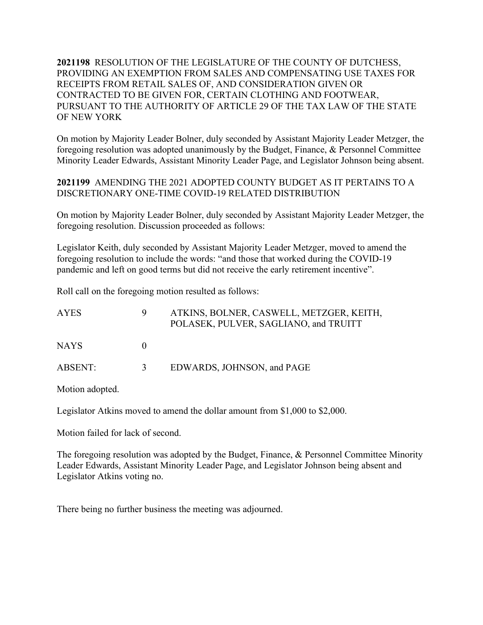**2021198** RESOLUTION OF THE LEGISLATURE OF THE COUNTY OF DUTCHESS, PROVIDING AN EXEMPTION FROM SALES AND COMPENSATING USE TAXES FOR RECEIPTS FROM RETAIL SALES OF, AND CONSIDERATION GIVEN OR CONTRACTED TO BE GIVEN FOR, CERTAIN CLOTHING AND FOOTWEAR, PURSUANT TO THE AUTHORITY OF ARTICLE 29 OF THE TAX LAW OF THE STATE OF NEW YORK

On motion by Majority Leader Bolner, duly seconded by Assistant Majority Leader Metzger, the foregoing resolution was adopted unanimously by the Budget, Finance, & Personnel Committee Minority Leader Edwards, Assistant Minority Leader Page, and Legislator Johnson being absent.

**2021199** AMENDING THE 2021 ADOPTED COUNTY BUDGET AS IT PERTAINS TO A DISCRETIONARY ONE-TIME COVID-19 RELATED DISTRIBUTION

On motion by Majority Leader Bolner, duly seconded by Assistant Majority Leader Metzger, the foregoing resolution. Discussion proceeded as follows:

Legislator Keith, duly seconded by Assistant Majority Leader Metzger, moved to amend the foregoing resolution to include the words: "and those that worked during the COVID-19 pandemic and left on good terms but did not receive the early retirement incentive".

Roll call on the foregoing motion resulted as follows:

| <b>AYES</b> |               | ATKINS, BOLNER, CASWELL, METZGER, KEITH,<br>POLASEK, PULVER, SAGLIANO, and TRUITT |
|-------------|---------------|-----------------------------------------------------------------------------------|
| NAYS.       |               |                                                                                   |
| ABSENT:     | $\mathcal{F}$ | EDWARDS, JOHNSON, and PAGE                                                        |

Motion adopted.

Legislator Atkins moved to amend the dollar amount from \$1,000 to \$2,000.

Motion failed for lack of second.

The foregoing resolution was adopted by the Budget, Finance, & Personnel Committee Minority Leader Edwards, Assistant Minority Leader Page, and Legislator Johnson being absent and Legislator Atkins voting no.

There being no further business the meeting was adjourned.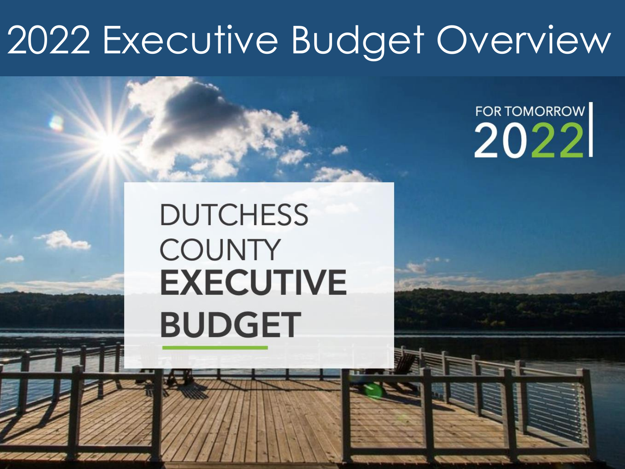## 2022 Executive Budget Overview

### **FOR TOMORROW** 2022

## **DUTCHESS COUNTY EXECUTIVE BUDGET**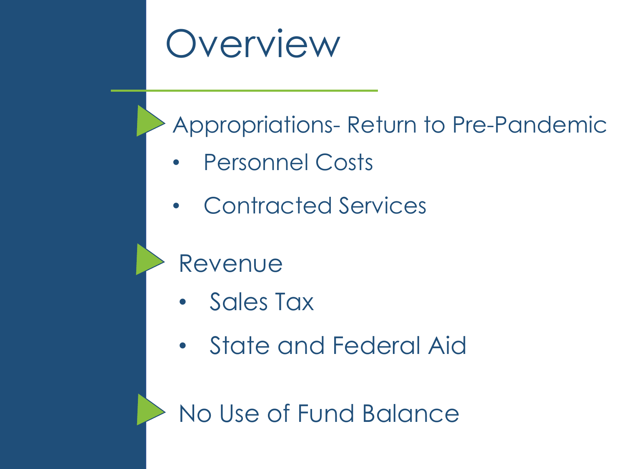

### Appropriations- Return to Pre-Pandemic

- Personnel Costs
- Contracted Services

### Revenue

- Sales Tax
- State and Federal Aid

No Use of Fund Balance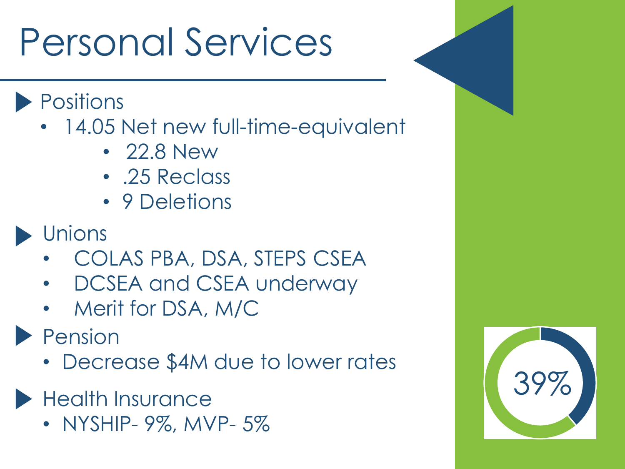# Personal Services

- Positions
	- 14.05 Net new full-time-equivalent
		- 22.8 New
		- .25 Reclass
		- 9 Deletions
- **Unions** 
	- COLAS PBA, DSA, STEPS CSEA
	- DCSEA and CSEA underway
	- Merit for DSA, M/C
- **Pension** 
	- Decrease \$4M due to lower rates
- **Health Insurance** 
	- NYSHIP- 9%, MVP- 5%

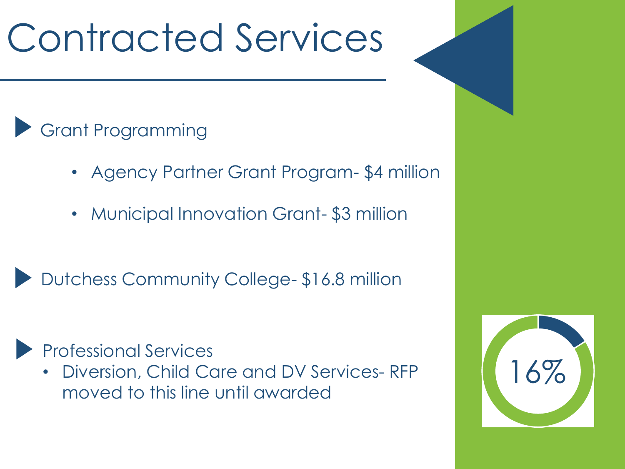# Contracted Services

### Grant Programming

- Agency Partner Grant Program- \$4 million
- Municipal Innovation Grant- \$3 million
- Dutchess Community College- \$16.8 million

#### Professional Services

• Diversion, Child Care and DV Services- RFP moved to this line until awarded

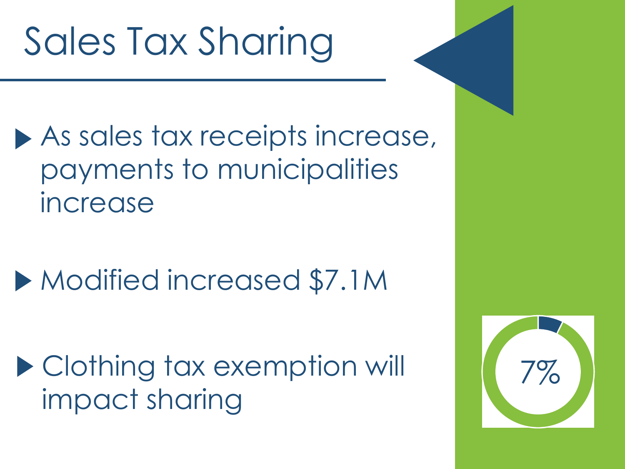# Sales Tax Sharing

- As sales tax receipts increase, payments to municipalities increase
- Modified increased \$7.1M

▶ Clothing tax exemption will impact sharing

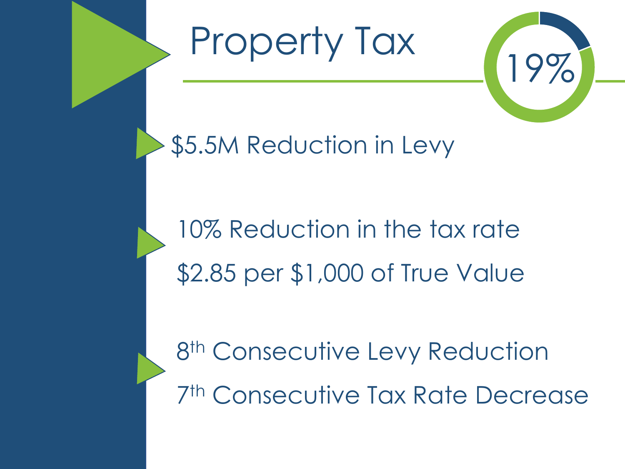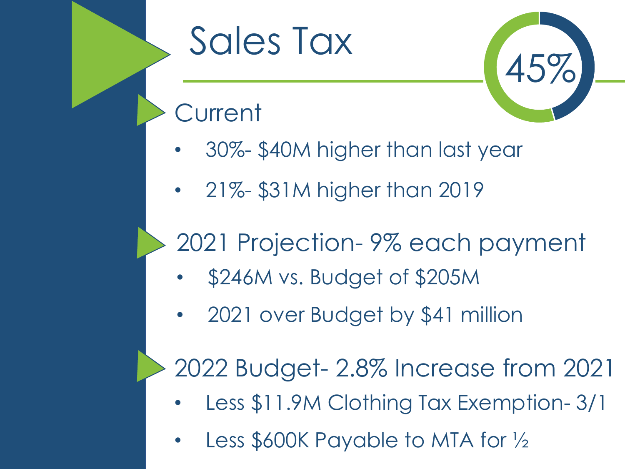# Sales Tax



### **Current**

- 30%- \$40M higher than last year
- 21%- \$31M higher than 2019

## 2021 Projection- 9% each payment

- \$246M vs. Budget of \$205M
- 2021 over Budget by \$41 million

2022 Budget- 2.8% Increase from 2021

- Less \$11.9M Clothing Tax Exemption- 3/1
- Less \$600K Payable to MTA for 1/2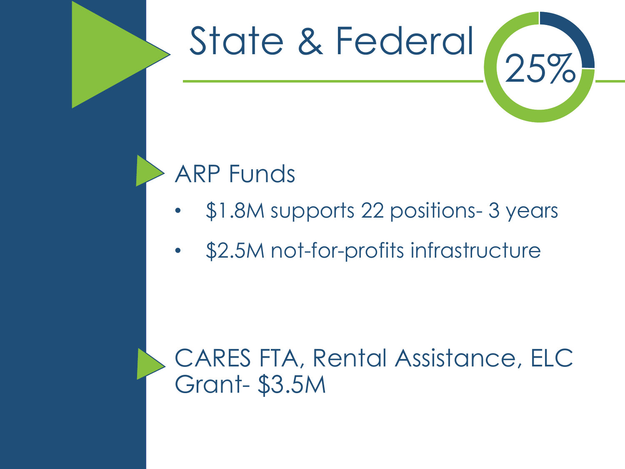## State & Federal



### ARP Funds

- \$1.8M supports 22 positions- 3 years
- \$2.5M not-for-profits infrastructure

### CARES FTA, Rental Assistance, ELC Grant- \$3.5M